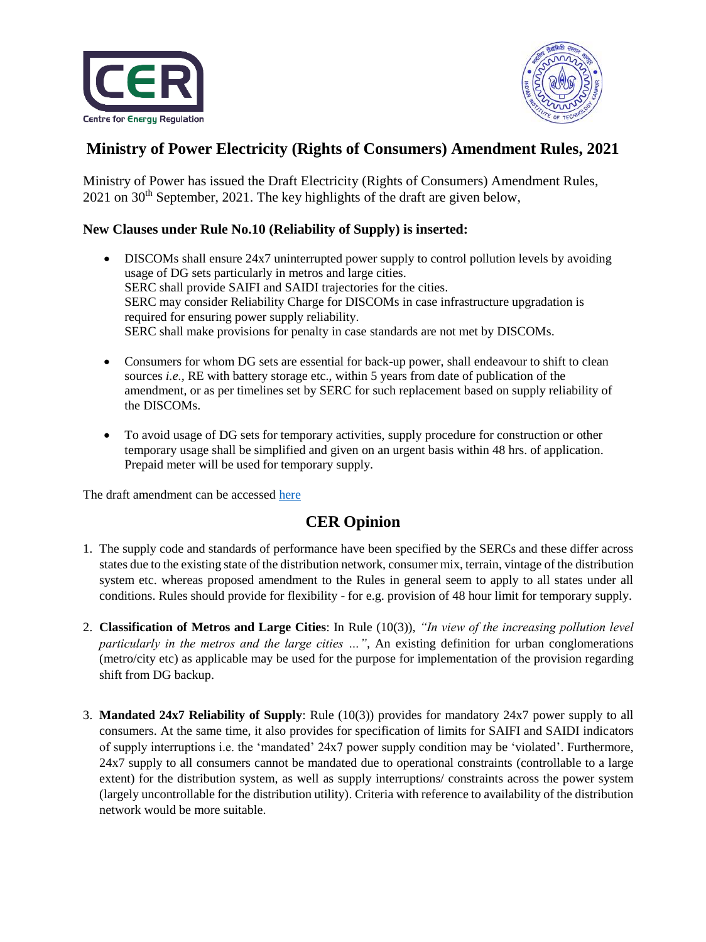



## **Ministry of Power Electricity (Rights of Consumers) Amendment Rules, 2021**

Ministry of Power has issued the Draft Electricity (Rights of Consumers) Amendment Rules,  $2021$  on  $30<sup>th</sup>$  September,  $2021$ . The key highlights of the draft are given below,

## **New Clauses under Rule No.10 (Reliability of Supply) is inserted:**

- DISCOMs shall ensure 24x7 uninterrupted power supply to control pollution levels by avoiding usage of DG sets particularly in metros and large cities. SERC shall provide SAIFI and SAIDI trajectories for the cities. SERC may consider Reliability Charge for DISCOMs in case infrastructure upgradation is required for ensuring power supply reliability. SERC shall make provisions for penalty in case standards are not met by DISCOMs.
- Consumers for whom DG sets are essential for back-up power, shall endeavour to shift to clean sources *i.e.,* RE with battery storage etc., within 5 years from date of publication of the amendment, or as per timelines set by SERC for such replacement based on supply reliability of the DISCOMs.
- To avoid usage of DG sets for temporary activities, supply procedure for construction or other temporary usage shall be simplified and given on an urgent basis within 48 hrs. of application. Prepaid meter will be used for temporary supply.

The draft amendment can be accessed [here](https://cer.iitk.ac.in/odf_assets/upload_files/2nd_Amd_Draft_Seeking_comments_on_draft_electricity_rights_of_consumers_amendment_rules_2021.pdf)

## **CER Opinion**

- 1. The supply code and standards of performance have been specified by the SERCs and these differ across states due to the existing state of the distribution network, consumer mix, terrain, vintage of the distribution system etc. whereas proposed amendment to the Rules in general seem to apply to all states under all conditions. Rules should provide for flexibility - for e.g. provision of 48 hour limit for temporary supply.
- 2. **Classification of Metros and Large Cities**: In Rule (10(3)), *"In view of the increasing pollution level particularly in the metros and the large cities …",* An existing definition for urban conglomerations (metro/city etc) as applicable may be used for the purpose for implementation of the provision regarding shift from DG backup.
- 3. **Mandated 24x7 Reliability of Supply**: Rule (10(3)) provides for mandatory 24x7 power supply to all consumers. At the same time, it also provides for specification of limits for SAIFI and SAIDI indicators of supply interruptions i.e. the 'mandated' 24x7 power supply condition may be 'violated'. Furthermore, 24x7 supply to all consumers cannot be mandated due to operational constraints (controllable to a large extent) for the distribution system, as well as supply interruptions/ constraints across the power system (largely uncontrollable for the distribution utility). Criteria with reference to availability of the distribution network would be more suitable.